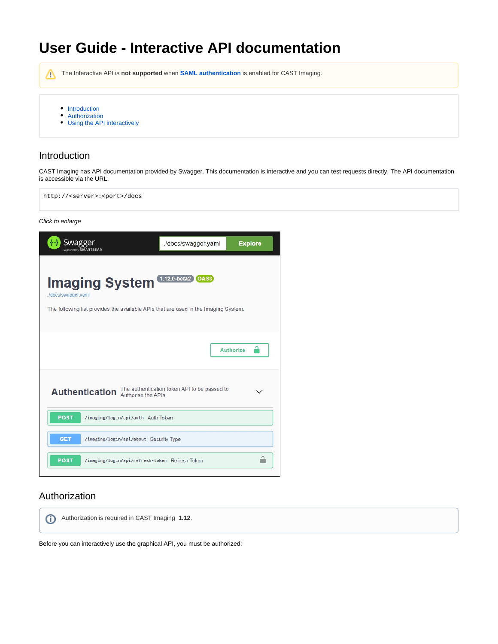# **User Guide - Interactive API documentation**

Λ The Interactive API is **not supported** when **[SAML authentication](https://doc.castsoftware.com/display/IMAGING/Configure+authentication)** is enabled for CAST Imaging.

- [Introduction](#page-0-0)
- [Authorization](#page-0-1)
- [Using the API interactively](#page-4-0)

### <span id="page-0-0"></span>Introduction

CAST Imaging has API documentation provided by Swagger. This documentation is interactive and you can test requests directly. The API documentation is accessible via the URL:

http://<server>:<port>/docs

Click to enlarge



#### <span id="page-0-1"></span>Authorization

Authorization is required in CAST Imaging **1.12**.⋒

Before you can interactively use the graphical API, you must be authorized: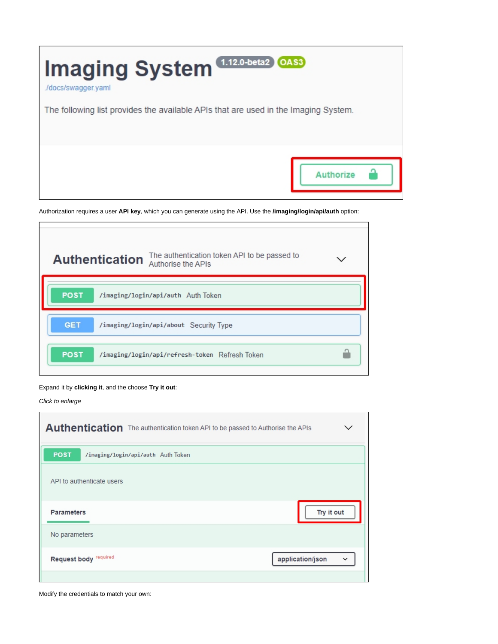

Authorization requires a user **API key**, which you can generate using the API. Use the **/imaging/login/api/auth** option:



#### Expand it by **clicking it**, and the choose **Try it out**:

Click to enlarge

 $\Gamma$ 

| Authentication The authentication token API to be passed to Authorise the APIs | ╰                                |
|--------------------------------------------------------------------------------|----------------------------------|
| <b>POST</b><br>/imaging/login/api/auth Auth Token                              |                                  |
| API to authenticate users                                                      |                                  |
| <b>Parameters</b>                                                              | Try it out                       |
| No parameters                                                                  |                                  |
| Request body required                                                          | application/json<br>$\checkmark$ |
|                                                                                |                                  |

Modify the credentials to match your own: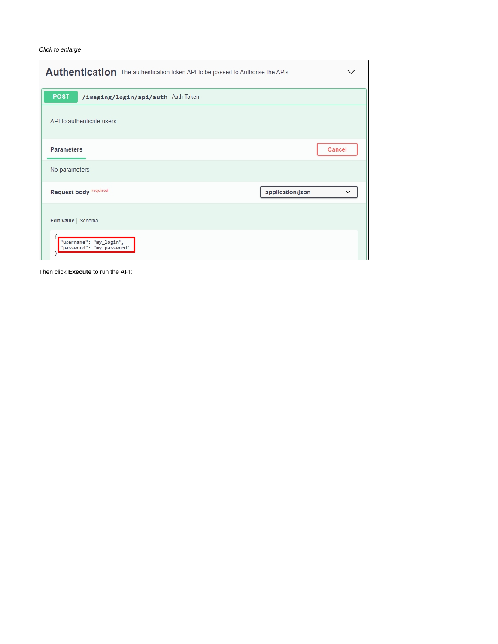Click to enlarge

 $\mathsf{r}$ 

| Authentication The authentication token API to be passed to Authorise the APIs |                                 |
|--------------------------------------------------------------------------------|---------------------------------|
| <b>POST</b><br>/imaging/login/api/auth Auth Token                              |                                 |
| API to authenticate users                                                      |                                 |
| <b>Parameters</b>                                                              | Cancel                          |
| No parameters                                                                  |                                 |
| Request body required                                                          | application/json<br>$\check{ }$ |
| Edit Value   Schema                                                            |                                 |
| "username": "my_login",<br>"password": "my_password"                           |                                 |

Then click **Execute** to run the API: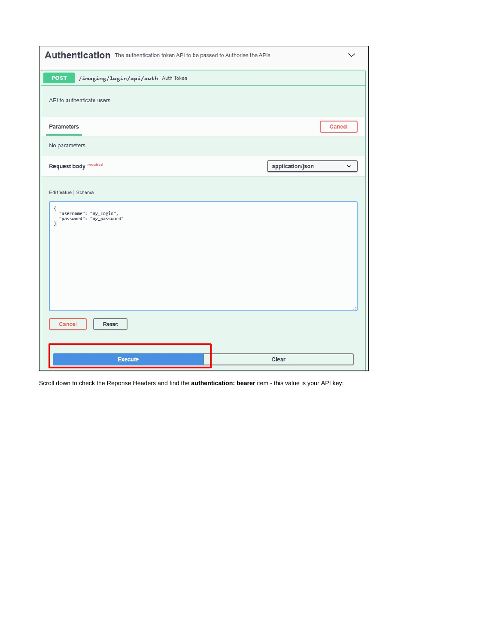| Authentication The authentication token API to be passed to Authorise the APIs                    |                                  |
|---------------------------------------------------------------------------------------------------|----------------------------------|
| <b>POST</b><br>/imaging/login/api/auth Auth Token                                                 |                                  |
| API to authenticate users                                                                         |                                  |
| <b>Parameters</b>                                                                                 | Cancel                           |
| No parameters                                                                                     |                                  |
| Request body required                                                                             | application/json<br>$\checkmark$ |
| Edit Value   Schema<br>₹<br>"username": "my_login",<br>"password": "my_password"<br>$\mathcal{F}$ |                                  |
| Cancel<br>Reset                                                                                   |                                  |
| <b>Execute</b>                                                                                    | Clear                            |

Scroll down to check the Reponse Headers and find the **authentication: bearer** item - this value is your API key: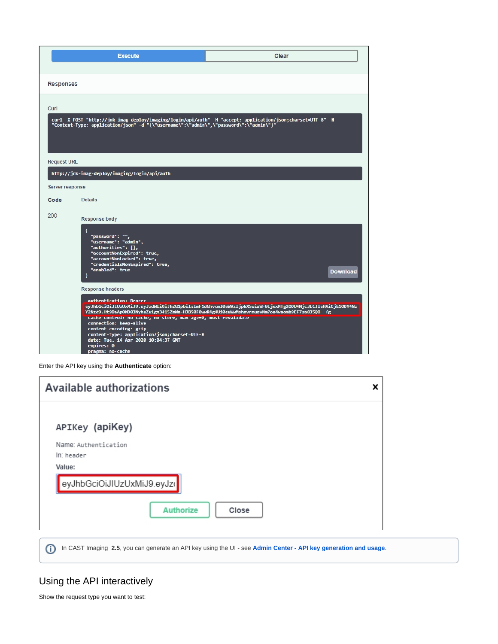|                         | <b>Execute</b>                                                                                                                                                                                                                                                       | Clear                                                                                                                                                                                                   |
|-------------------------|----------------------------------------------------------------------------------------------------------------------------------------------------------------------------------------------------------------------------------------------------------------------|---------------------------------------------------------------------------------------------------------------------------------------------------------------------------------------------------------|
| <b>Responses</b>        |                                                                                                                                                                                                                                                                      |                                                                                                                                                                                                         |
| Curl                    | "Content-Type: application/json" -d "{\"username\":\"admin\",\"password\":\"admin\"}"                                                                                                                                                                                | curl -X POST "http://jnk-imag-deploy/imaging/login/api/auth" -H "accept: application/json;charset=UTF-8" -H                                                                                             |
| <b>Request URL</b>      | http://jnk-imag-deploy/imaging/login/api/auth                                                                                                                                                                                                                        |                                                                                                                                                                                                         |
| Server response         |                                                                                                                                                                                                                                                                      |                                                                                                                                                                                                         |
| Code                    | <b>Details</b>                                                                                                                                                                                                                                                       |                                                                                                                                                                                                         |
| 200                     | <b>Response body</b><br>ł<br>"password": "",<br>"username": "admin",<br>"authorities": [],<br>"accountNonExpired": true,<br>"accountNonLocked": true,<br>"credentialsNonExpired": true,<br>"enabled": true<br>Y                                                      | <b>Download</b>                                                                                                                                                                                         |
| <b>Response headers</b> |                                                                                                                                                                                                                                                                      |                                                                                                                                                                                                         |
|                         | authentication: Bearer<br>cache-control: no-cache, no-store, max-age=0, must-revalidate<br>connection: keep-alive<br>content-encoding: gzip<br>content-type: application/json;charset=UTF-8<br>date: Tue, 14 Apr 2020 10:04:37 GMT<br>expires: 0<br>pragma: no-cache | eyJhbGciOiJIUzUxMiJ9.eyJzdWIiOiJhZG1pbiIsImF1dGhvcml0aWVzIjpbXSwiaWF0IjoxNTg2ODU4Njc3LCJ1eHAiOjE1ODY4Nz<br>Y2Nzd9.Ht9DaAp0WD03NyhuZu1gm3415ZmWa-HJB50F0wwR4g4Ui0euWwMshmvrmuovMm7oa4waomb9EF7sa8J5Q0_fg |

| <b>Available authorizations</b> | x |
|---------------------------------|---|
|                                 |   |
| APIKey (apiKey)                 |   |
| Name: Authentication            |   |
| In: header                      |   |
| Value:                          |   |
| eyJhbGciOiJIUzUxMiJ9.eyJzo      |   |
| <b>Authorize</b><br>Close       |   |

In CAST Imaging **2.5**, you can generate an API key using the UI - see **[Admin Center - API key generation and usage](https://doc.castsoftware.com/display/IMAGING/Admin+Center+-+API+key+generation+and+usage)**.

## <span id="page-4-0"></span>Using the API interactively

Show the request type you want to test:

Enter the API key using the **Authenticate** option: